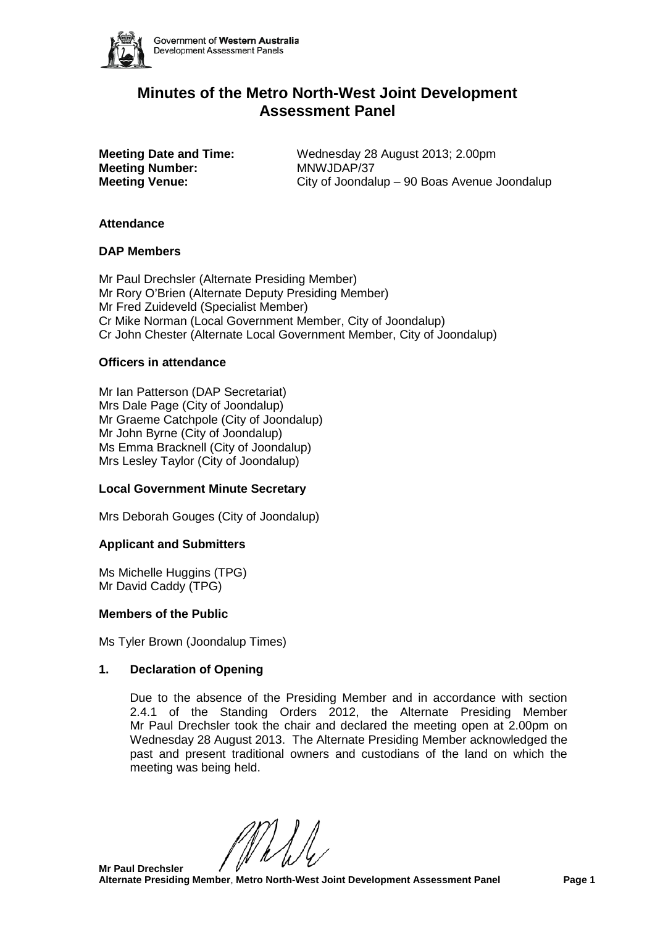

#### Government of Western Australia Development Assessment Panels

# **Minutes of the Metro North-West Joint Development Assessment Panel**

**Meeting Number:** 

**Meeting Date and Time:** Wednesday 28 August 2013; 2.00pm<br>**MAWJDAP/37 Meeting Venue:** City of Joondalup – 90 Boas Avenue Joondalup

#### **Attendance**

### **DAP Members**

Mr Paul Drechsler (Alternate Presiding Member) Mr Rory O'Brien (Alternate Deputy Presiding Member) Mr Fred Zuideveld (Specialist Member) Cr Mike Norman (Local Government Member, City of Joondalup) Cr John Chester (Alternate Local Government Member, City of Joondalup)

### **Officers in attendance**

Mr Ian Patterson (DAP Secretariat) Mrs Dale Page (City of Joondalup) Mr Graeme Catchpole (City of Joondalup) Mr John Byrne (City of Joondalup) Ms Emma Bracknell (City of Joondalup) Mrs Lesley Taylor (City of Joondalup)

# **Local Government Minute Secretary**

Mrs Deborah Gouges (City of Joondalup)

#### **Applicant and Submitters**

Ms Michelle Huggins (TPG) Mr David Caddy (TPG)

#### **Members of the Public**

Ms Tyler Brown (Joondalup Times)

#### **1. Declaration of Opening**

Due to the absence of the Presiding Member and in accordance with section 2.4.1 of the Standing Orders 2012, the Alternate Presiding Member Mr Paul Drechsler took the chair and declared the meeting open at 2.00pm on Wednesday 28 August 2013. The Alternate Presiding Member acknowledged the past and present traditional owners and custodians of the land on which the meeting was being held.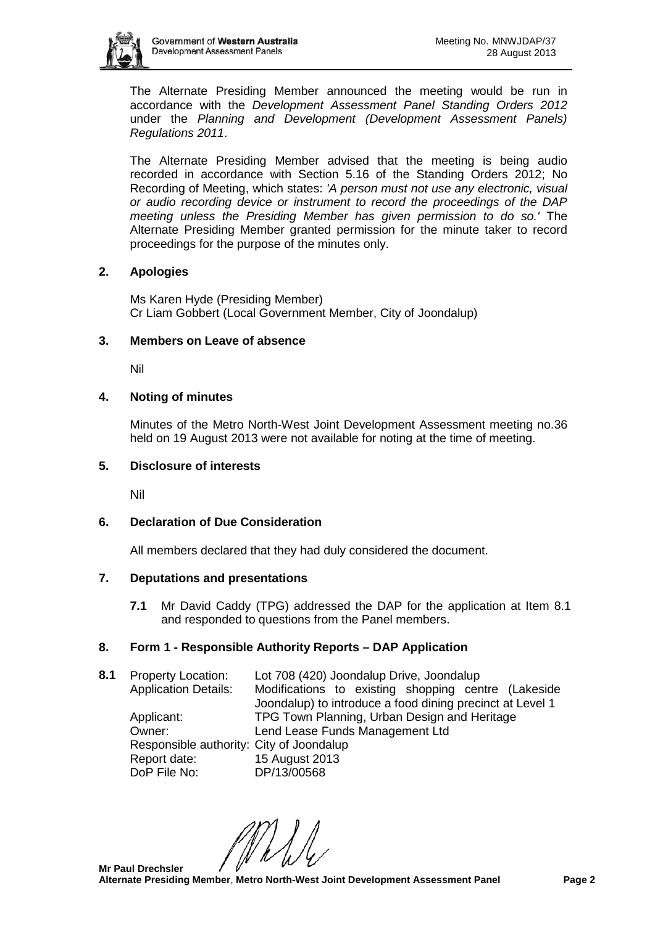

The Alternate Presiding Member announced the meeting would be run in accordance with the *Development Assessment Panel Standing Orders 2012* under the *Planning and Development (Development Assessment Panels) Regulations 2011*.

The Alternate Presiding Member advised that the meeting is being audio recorded in accordance with Section 5.16 of the Standing Orders 2012; No Recording of Meeting, which states: *'A person must not use any electronic, visual or audio recording device or instrument to record the proceedings of the DAP meeting unless the Presiding Member has given permission to do so.'* The Alternate Presiding Member granted permission for the minute taker to record proceedings for the purpose of the minutes only.

### **2. Apologies**

Ms Karen Hyde (Presiding Member) Cr Liam Gobbert (Local Government Member, City of Joondalup)

#### **3. Members on Leave of absence**

Nil

### **4. Noting of minutes**

Minutes of the Metro North-West Joint Development Assessment meeting no.36 held on 19 August 2013 were not available for noting at the time of meeting.

#### **5. Disclosure of interests**

Nil

# **6. Declaration of Due Consideration**

All members declared that they had duly considered the document.

#### **7. Deputations and presentations**

**7.1** Mr David Caddy (TPG) addressed the DAP for the application at Item 8.1 and responded to questions from the Panel members.

# **8. Form 1 - Responsible Authority Reports – DAP Application**

**8.1** Property Location: Lot 708 (420) Joondalup Drive, Joondalup Application Details: Modifications to existing shopping centre (Lakeside Joondalup) to introduce a food dining precinct at Level 1 Applicant: TPG Town Planning, Urban Design and Heritage Owner: Lend Lease Funds Management Ltd Responsible authority: City of Joondalup Report date: 15 August 2013<br>DoP File No: DP/13/00568 DP/13/00568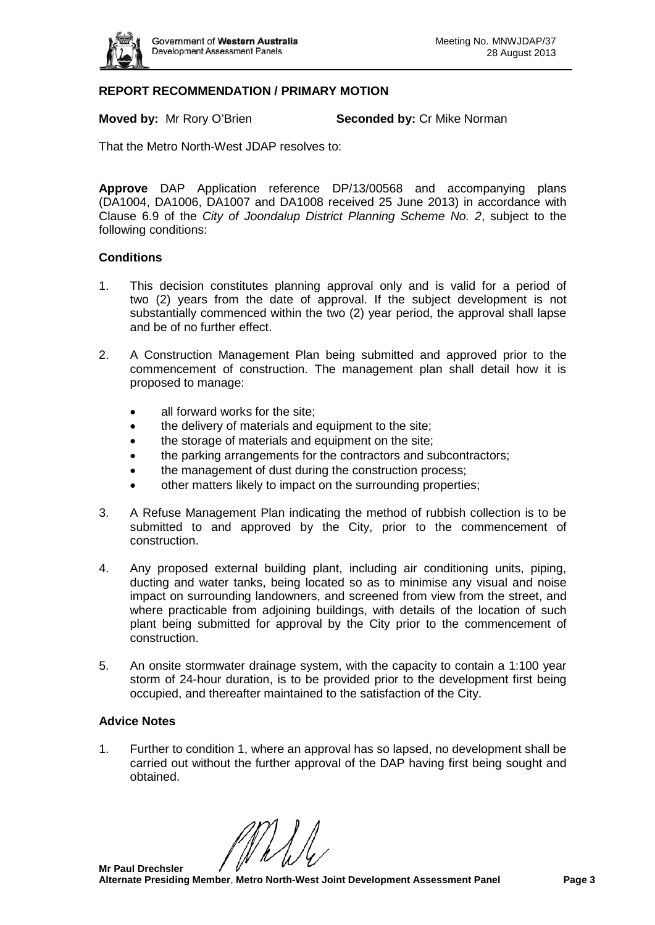

#### **REPORT RECOMMENDATION / PRIMARY MOTION**

**Moved by:** Mr Rory O'Brien **Seconded by:** Cr Mike Norman

That the Metro North-West JDAP resolves to:

**Approve** DAP Application reference DP/13/00568 and accompanying plans (DA1004, DA1006, DA1007 and DA1008 received 25 June 2013) in accordance with Clause 6.9 of the *City of Joondalup District Planning Scheme No. 2*, subject to the following conditions:

#### **Conditions**

- 1. This decision constitutes planning approval only and is valid for a period of two (2) years from the date of approval. If the subject development is not substantially commenced within the two (2) year period, the approval shall lapse and be of no further effect.
- 2. A Construction Management Plan being submitted and approved prior to the commencement of construction. The management plan shall detail how it is proposed to manage:
	- all forward works for the site;
	- the delivery of materials and equipment to the site;
	- the storage of materials and equipment on the site:
	- the parking arrangements for the contractors and subcontractors;
	- the management of dust during the construction process;
	- other matters likely to impact on the surrounding properties;
- 3. A Refuse Management Plan indicating the method of rubbish collection is to be submitted to and approved by the City, prior to the commencement of construction.
- 4. Any proposed external building plant, including air conditioning units, piping, ducting and water tanks, being located so as to minimise any visual and noise impact on surrounding landowners, and screened from view from the street, and where practicable from adjoining buildings, with details of the location of such plant being submitted for approval by the City prior to the commencement of construction.
- 5. An onsite stormwater drainage system, with the capacity to contain a 1:100 year storm of 24-hour duration, is to be provided prior to the development first being occupied, and thereafter maintained to the satisfaction of the City.

#### **Advice Notes**

1. Further to condition 1, where an approval has so lapsed, no development shall be carried out without the further approval of the DAP having first being sought and obtained.